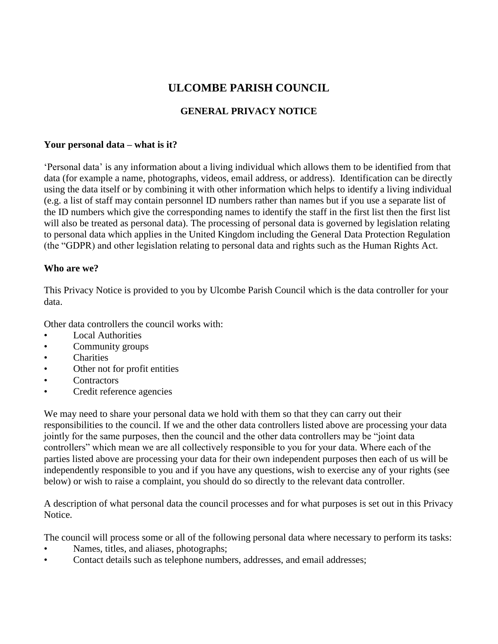# **ULCOMBE PARISH COUNCIL**

# **GENERAL PRIVACY NOTICE**

#### **Your personal data – what is it?**

'Personal data' is any information about a living individual which allows them to be identified from that data (for example a name, photographs, videos, email address, or address). Identification can be directly using the data itself or by combining it with other information which helps to identify a living individual (e.g. a list of staff may contain personnel ID numbers rather than names but if you use a separate list of the ID numbers which give the corresponding names to identify the staff in the first list then the first list will also be treated as personal data). The processing of personal data is governed by legislation relating to personal data which applies in the United Kingdom including the General Data Protection Regulation (the "GDPR) and other legislation relating to personal data and rights such as the Human Rights Act.

## **Who are we?**

This Privacy Notice is provided to you by Ulcombe Parish Council which is the data controller for your data.

Other data controllers the council works with:

- **Local Authorities**
- Community groups
- Charities
- Other not for profit entities
- Contractors
- Credit reference agencies

We may need to share your personal data we hold with them so that they can carry out their responsibilities to the council. If we and the other data controllers listed above are processing your data jointly for the same purposes, then the council and the other data controllers may be "joint data controllers" which mean we are all collectively responsible to you for your data. Where each of the parties listed above are processing your data for their own independent purposes then each of us will be independently responsible to you and if you have any questions, wish to exercise any of your rights (see below) or wish to raise a complaint, you should do so directly to the relevant data controller.

A description of what personal data the council processes and for what purposes is set out in this Privacy Notice.

The council will process some or all of the following personal data where necessary to perform its tasks:

- Names, titles, and aliases, photographs;
- Contact details such as telephone numbers, addresses, and email addresses;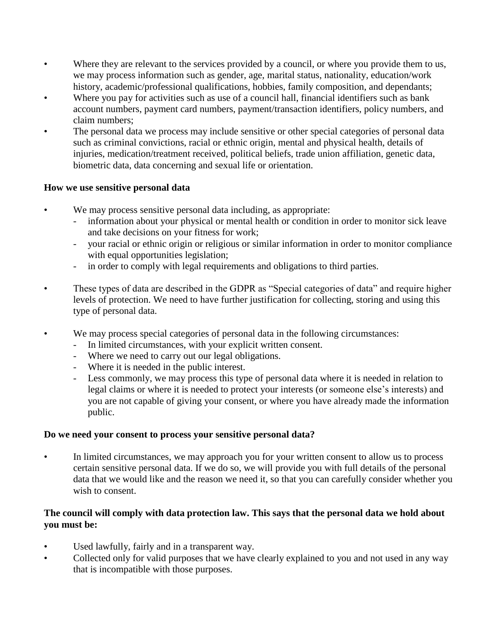- Where they are relevant to the services provided by a council, or where you provide them to us, we may process information such as gender, age, marital status, nationality, education/work history, academic/professional qualifications, hobbies, family composition, and dependants;
- Where you pay for activities such as use of a council hall, financial identifiers such as bank account numbers, payment card numbers, payment/transaction identifiers, policy numbers, and claim numbers;
- The personal data we process may include sensitive or other special categories of personal data such as criminal convictions, racial or ethnic origin, mental and physical health, details of injuries, medication/treatment received, political beliefs, trade union affiliation, genetic data, biometric data, data concerning and sexual life or orientation.

## **How we use sensitive personal data**

- We may process sensitive personal data including, as appropriate:
	- information about your physical or mental health or condition in order to monitor sick leave and take decisions on your fitness for work;
	- your racial or ethnic origin or religious or similar information in order to monitor compliance with equal opportunities legislation;
	- in order to comply with legal requirements and obligations to third parties.
- These types of data are described in the GDPR as "Special categories of data" and require higher levels of protection. We need to have further justification for collecting, storing and using this type of personal data.
- We may process special categories of personal data in the following circumstances:
	- In limited circumstances, with your explicit written consent.
	- Where we need to carry out our legal obligations.
	- Where it is needed in the public interest.
	- Less commonly, we may process this type of personal data where it is needed in relation to legal claims or where it is needed to protect your interests (or someone else's interests) and you are not capable of giving your consent, or where you have already made the information public.

#### **Do we need your consent to process your sensitive personal data?**

In limited circumstances, we may approach you for your written consent to allow us to process certain sensitive personal data. If we do so, we will provide you with full details of the personal data that we would like and the reason we need it, so that you can carefully consider whether you wish to consent.

## **The council will comply with data protection law. This says that the personal data we hold about you must be:**

- Used lawfully, fairly and in a transparent way.
- Collected only for valid purposes that we have clearly explained to you and not used in any way that is incompatible with those purposes.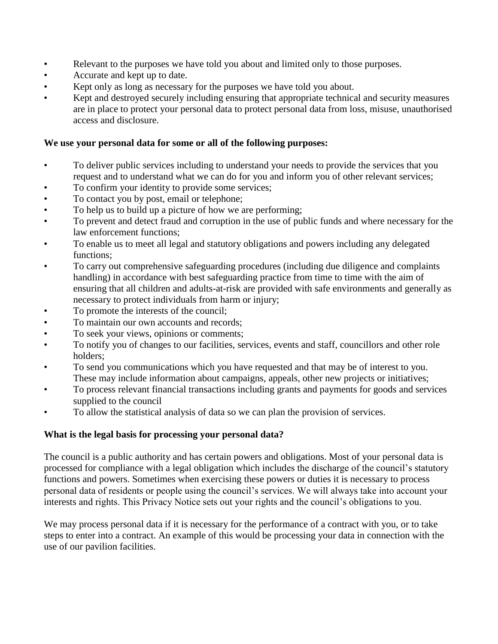- Relevant to the purposes we have told you about and limited only to those purposes.
- Accurate and kept up to date.
- Kept only as long as necessary for the purposes we have told you about.
- Kept and destroyed securely including ensuring that appropriate technical and security measures are in place to protect your personal data to protect personal data from loss, misuse, unauthorised access and disclosure.

#### **We use your personal data for some or all of the following purposes:**

- To deliver public services including to understand your needs to provide the services that you request and to understand what we can do for you and inform you of other relevant services;
- To confirm your identity to provide some services;
- To contact you by post, email or telephone;
- To help us to build up a picture of how we are performing;
- To prevent and detect fraud and corruption in the use of public funds and where necessary for the law enforcement functions;
- To enable us to meet all legal and statutory obligations and powers including any delegated functions;
- To carry out comprehensive safeguarding procedures (including due diligence and complaints handling) in accordance with best safeguarding practice from time to time with the aim of ensuring that all children and adults-at-risk are provided with safe environments and generally as necessary to protect individuals from harm or injury;
- To promote the interests of the council;
- To maintain our own accounts and records;
- To seek your views, opinions or comments;
- To notify you of changes to our facilities, services, events and staff, councillors and other role holders;
- To send you communications which you have requested and that may be of interest to you. These may include information about campaigns, appeals, other new projects or initiatives;
- To process relevant financial transactions including grants and payments for goods and services supplied to the council
- To allow the statistical analysis of data so we can plan the provision of services.

#### **What is the legal basis for processing your personal data?**

The council is a public authority and has certain powers and obligations. Most of your personal data is processed for compliance with a legal obligation which includes the discharge of the council's statutory functions and powers. Sometimes when exercising these powers or duties it is necessary to process personal data of residents or people using the council's services. We will always take into account your interests and rights. This Privacy Notice sets out your rights and the council's obligations to you.

We may process personal data if it is necessary for the performance of a contract with you, or to take steps to enter into a contract. An example of this would be processing your data in connection with the use of our pavilion facilities.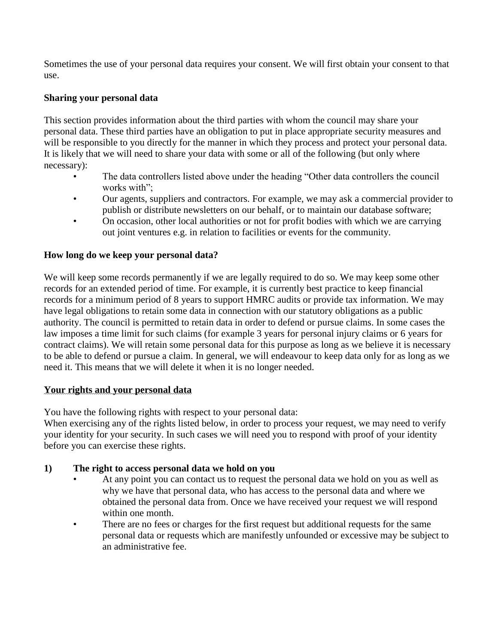Sometimes the use of your personal data requires your consent. We will first obtain your consent to that use.

# **Sharing your personal data**

This section provides information about the third parties with whom the council may share your personal data. These third parties have an obligation to put in place appropriate security measures and will be responsible to you directly for the manner in which they process and protect your personal data. It is likely that we will need to share your data with some or all of the following (but only where necessary):

- The data controllers listed above under the heading "Other data controllers the council works with";
- Our agents, suppliers and contractors. For example, we may ask a commercial provider to publish or distribute newsletters on our behalf, or to maintain our database software;
- On occasion, other local authorities or not for profit bodies with which we are carrying out joint ventures e.g. in relation to facilities or events for the community.

# **How long do we keep your personal data?**

We will keep some records permanently if we are legally required to do so. We may keep some other records for an extended period of time. For example, it is currently best practice to keep financial records for a minimum period of 8 years to support HMRC audits or provide tax information. We may have legal obligations to retain some data in connection with our statutory obligations as a public authority. The council is permitted to retain data in order to defend or pursue claims. In some cases the law imposes a time limit for such claims (for example 3 years for personal injury claims or 6 years for contract claims). We will retain some personal data for this purpose as long as we believe it is necessary to be able to defend or pursue a claim. In general, we will endeavour to keep data only for as long as we need it. This means that we will delete it when it is no longer needed.

# **Your rights and your personal data**

You have the following rights with respect to your personal data:

When exercising any of the rights listed below, in order to process your request, we may need to verify your identity for your security. In such cases we will need you to respond with proof of your identity before you can exercise these rights.

# **1) The right to access personal data we hold on you**

- At any point you can contact us to request the personal data we hold on you as well as why we have that personal data, who has access to the personal data and where we obtained the personal data from. Once we have received your request we will respond within one month.
- There are no fees or charges for the first request but additional requests for the same personal data or requests which are manifestly unfounded or excessive may be subject to an administrative fee.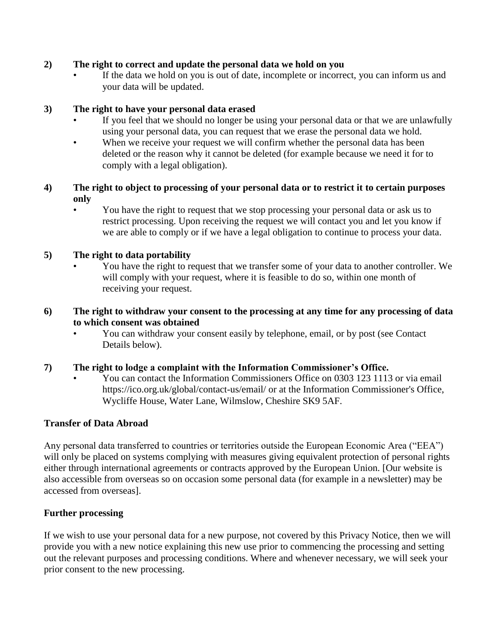## **2) The right to correct and update the personal data we hold on you**

If the data we hold on you is out of date, incomplete or incorrect, you can inform us and your data will be updated.

## **3) The right to have your personal data erased**

- If you feel that we should no longer be using your personal data or that we are unlawfully using your personal data, you can request that we erase the personal data we hold.
- When we receive your request we will confirm whether the personal data has been deleted or the reason why it cannot be deleted (for example because we need it for to comply with a legal obligation).

## **4) The right to object to processing of your personal data or to restrict it to certain purposes only**

• You have the right to request that we stop processing your personal data or ask us to restrict processing. Upon receiving the request we will contact you and let you know if we are able to comply or if we have a legal obligation to continue to process your data.

## **5) The right to data portability**

• You have the right to request that we transfer some of your data to another controller. We will comply with your request, where it is feasible to do so, within one month of receiving your request.

## **6) The right to withdraw your consent to the processing at any time for any processing of data to which consent was obtained**

• You can withdraw your consent easily by telephone, email, or by post (see Contact Details below).

# **7) The right to lodge a complaint with the Information Commissioner's Office.**

• You can contact the Information Commissioners Office on 0303 123 1113 or via email https://ico.org.uk/global/contact-us/email/ or at the Information Commissioner's Office, Wycliffe House, Water Lane, Wilmslow, Cheshire SK9 5AF.

# **Transfer of Data Abroad**

Any personal data transferred to countries or territories outside the European Economic Area ("EEA") will only be placed on systems complying with measures giving equivalent protection of personal rights either through international agreements or contracts approved by the European Union. [Our website is also accessible from overseas so on occasion some personal data (for example in a newsletter) may be accessed from overseas].

#### **Further processing**

If we wish to use your personal data for a new purpose, not covered by this Privacy Notice, then we will provide you with a new notice explaining this new use prior to commencing the processing and setting out the relevant purposes and processing conditions. Where and whenever necessary, we will seek your prior consent to the new processing.